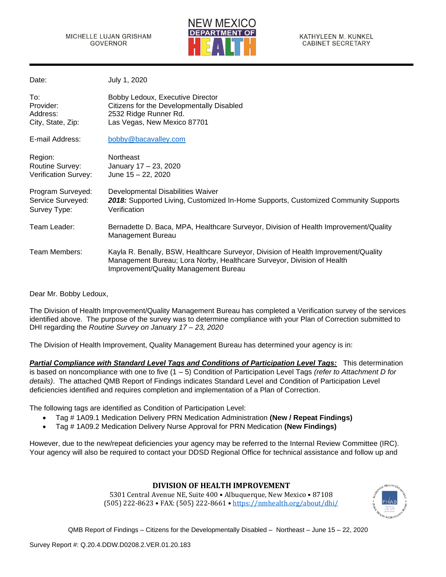

| Date:                                                  | July 1, 2020                                                                                                                                                                                                 |
|--------------------------------------------------------|--------------------------------------------------------------------------------------------------------------------------------------------------------------------------------------------------------------|
| To:<br>Provider:<br>Address:<br>City, State, Zip:      | Bobby Ledoux, Executive Director<br>Citizens for the Developmentally Disabled<br>2532 Ridge Runner Rd.<br>Las Vegas, New Mexico 87701                                                                        |
| E-mail Address:                                        | bobby@bacavalley.com                                                                                                                                                                                         |
| Region:<br>Routine Survey:<br>Verification Survey:     | <b>Northeast</b><br>January 17 - 23, 2020<br>June 15 - 22, 2020                                                                                                                                              |
| Program Surveyed:<br>Service Surveyed:<br>Survey Type: | Developmental Disabilities Waiver<br>2018: Supported Living, Customized In-Home Supports, Customized Community Supports<br>Verification                                                                      |
| Team Leader:                                           | Bernadette D. Baca, MPA, Healthcare Surveyor, Division of Health Improvement/Quality<br>Management Bureau                                                                                                    |
| Team Members:                                          | Kayla R. Benally, BSW, Healthcare Surveyor, Division of Health Improvement/Quality<br>Management Bureau; Lora Norby, Healthcare Surveyor, Division of Health<br><b>Improvement/Quality Management Bureau</b> |

Dear Mr. Bobby Ledoux,

The Division of Health Improvement/Quality Management Bureau has completed a Verification survey of the services identified above. The purpose of the survey was to determine compliance with your Plan of Correction submitted to DHI regarding the *Routine Survey on January 17 – 23, 2020*

The Division of Health Improvement, Quality Management Bureau has determined your agency is in:

*Partial Compliance with Standard Level Tags and Conditions of Participation Level Tags:* This determination is based on noncompliance with one to five (1 – 5) Condition of Participation Level Tags *(refer to Attachment D for details)*. The attached QMB Report of Findings indicates Standard Level and Condition of Participation Level deficiencies identified and requires completion and implementation of a Plan of Correction.

The following tags are identified as Condition of Participation Level:

- Tag # 1A09.1 Medication Delivery PRN Medication Administration **(New / Repeat Findings)**
- Tag # 1A09.2 Medication Delivery Nurse Approval for PRN Medication **(New Findings)**

However, due to the new/repeat deficiencies your agency may be referred to the Internal Review Committee (IRC). Your agency will also be required to contact your DDSD Regional Office for technical assistance and follow up and

# **DIVISION OF HEALTH IMPROVEMENT**

5301 Central Avenue NE, Suite 400 • Albuquerque, New Mexico • 87108 (505) 222-8623 • FAX: (505) 222-8661 • <https://nmhealth.org/about/dhi/>

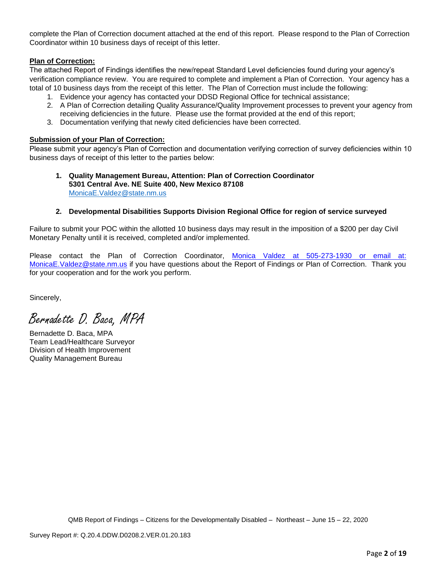complete the Plan of Correction document attached at the end of this report. Please respond to the Plan of Correction Coordinator within 10 business days of receipt of this letter.

## **Plan of Correction:**

The attached Report of Findings identifies the new/repeat Standard Level deficiencies found during your agency's verification compliance review. You are required to complete and implement a Plan of Correction. Your agency has a total of 10 business days from the receipt of this letter. The Plan of Correction must include the following:

- 1. Evidence your agency has contacted your DDSD Regional Office for technical assistance;
- 2. A Plan of Correction detailing Quality Assurance/Quality Improvement processes to prevent your agency from receiving deficiencies in the future. Please use the format provided at the end of this report;
- 3. Documentation verifying that newly cited deficiencies have been corrected.

#### **Submission of your Plan of Correction:**

Please submit your agency's Plan of Correction and documentation verifying correction of survey deficiencies within 10 business days of receipt of this letter to the parties below:

## **1. Quality Management Bureau, Attention: Plan of Correction Coordinator 5301 Central Ave. NE Suite 400, New Mexico 87108** [MonicaE.Valdez@state.nm.us](mailto:MonicaE.Valdez@state.nm.us)

## **2. Developmental Disabilities Supports Division Regional Office for region of service surveyed**

Failure to submit your POC within the allotted 10 business days may result in the imposition of a \$200 per day Civil Monetary Penalty until it is received, completed and/or implemented.

Please contact the Plan of Correction Coordinator, Monica Valdez at 505-273-1930 or email at: [MonicaE.Valdez@state.nm.us](mailto:MonicaE.Valdez@state.nm.us) if you have questions about the Report of Findings or Plan of Correction. Thank you for your cooperation and for the work you perform.

Sincerely,

Bernadette D. Baca, MPA

Bernadette D. Baca, MPA Team Lead/Healthcare Surveyor Division of Health Improvement Quality Management Bureau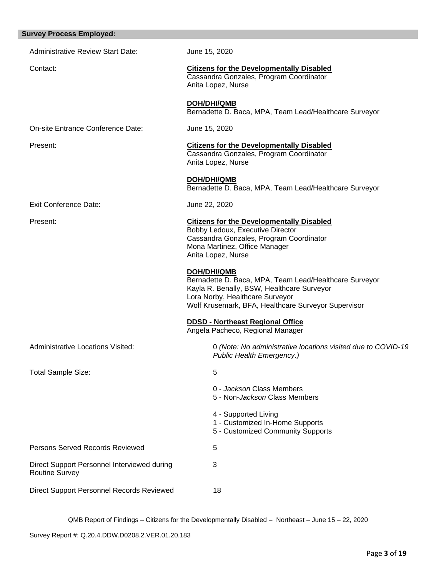| <b>Survey Process Employed:</b>                                      |                                                                                                                                                                                                                      |
|----------------------------------------------------------------------|----------------------------------------------------------------------------------------------------------------------------------------------------------------------------------------------------------------------|
| <b>Administrative Review Start Date:</b>                             | June 15, 2020                                                                                                                                                                                                        |
| Contact:                                                             | <b>Citizens for the Developmentally Disabled</b><br>Cassandra Gonzales, Program Coordinator<br>Anita Lopez, Nurse                                                                                                    |
|                                                                      | DOH/DHI/QMB<br>Bernadette D. Baca, MPA, Team Lead/Healthcare Surveyor                                                                                                                                                |
| On-site Entrance Conference Date:                                    | June 15, 2020                                                                                                                                                                                                        |
| Present:                                                             | <b>Citizens for the Developmentally Disabled</b><br>Cassandra Gonzales, Program Coordinator<br>Anita Lopez, Nurse                                                                                                    |
|                                                                      | <b>DOH/DHI/QMB</b><br>Bernadette D. Baca, MPA, Team Lead/Healthcare Surveyor                                                                                                                                         |
| <b>Exit Conference Date:</b>                                         | June 22, 2020                                                                                                                                                                                                        |
| Present:                                                             | <b>Citizens for the Developmentally Disabled</b><br>Bobby Ledoux, Executive Director<br>Cassandra Gonzales, Program Coordinator<br>Mona Martinez, Office Manager<br>Anita Lopez, Nurse                               |
|                                                                      | <b>DOH/DHI/QMB</b><br>Bernadette D. Baca, MPA, Team Lead/Healthcare Surveyor<br>Kayla R. Benally, BSW, Healthcare Surveyor<br>Lora Norby, Healthcare Surveyor<br>Wolf Krusemark, BFA, Healthcare Surveyor Supervisor |
|                                                                      | <b>DDSD - Northeast Regional Office</b><br>Angela Pacheco, Regional Manager                                                                                                                                          |
| <b>Administrative Locations Visited:</b>                             | 0 (Note: No administrative locations visited due to COVID-19<br>Public Health Emergency.)                                                                                                                            |
| Total Sample Size:                                                   | 5                                                                                                                                                                                                                    |
|                                                                      | 0 - Jackson Class Members<br>5 - Non-Jackson Class Members                                                                                                                                                           |
|                                                                      | 4 - Supported Living<br>1 - Customized In-Home Supports<br>5 - Customized Community Supports                                                                                                                         |
| Persons Served Records Reviewed                                      | 5                                                                                                                                                                                                                    |
| Direct Support Personnel Interviewed during<br><b>Routine Survey</b> | 3                                                                                                                                                                                                                    |
| Direct Support Personnel Records Reviewed                            | 18                                                                                                                                                                                                                   |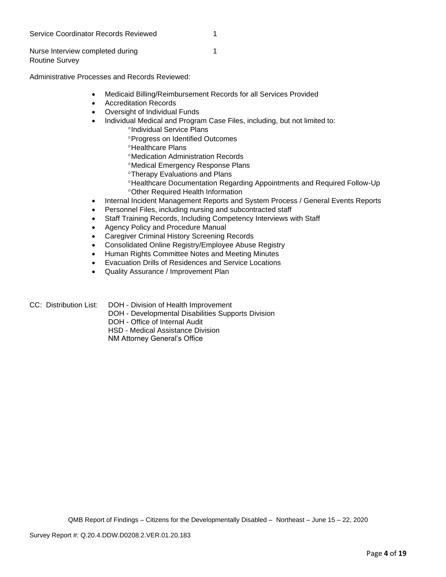Nurse Interview completed during 1 Routine Survey

Administrative Processes and Records Reviewed:

- Medicaid Billing/Reimbursement Records for all Services Provided
- Accreditation Records
- Oversight of Individual Funds
- Individual Medical and Program Case Files, including, but not limited to:
	- <sup>o</sup>Individual Service Plans
	- Progress on Identified Outcomes
	- <sup>o</sup>Healthcare Plans
	- Medication Administration Records
	- Medical Emergency Response Plans
	- Therapy Evaluations and Plans
	- Healthcare Documentation Regarding Appointments and Required Follow-Up Other Required Health Information
- Internal Incident Management Reports and System Process / General Events Reports
- Personnel Files, including nursing and subcontracted staff
- Staff Training Records, Including Competency Interviews with Staff
- Agency Policy and Procedure Manual
- Caregiver Criminal History Screening Records
- Consolidated Online Registry/Employee Abuse Registry
- Human Rights Committee Notes and Meeting Minutes
- Evacuation Drills of Residences and Service Locations
- Quality Assurance / Improvement Plan
- CC: Distribution List: DOH Division of Health Improvement
	- DOH Developmental Disabilities Supports Division
	- DOH Office of Internal Audit
	- HSD Medical Assistance Division

NM Attorney General's Office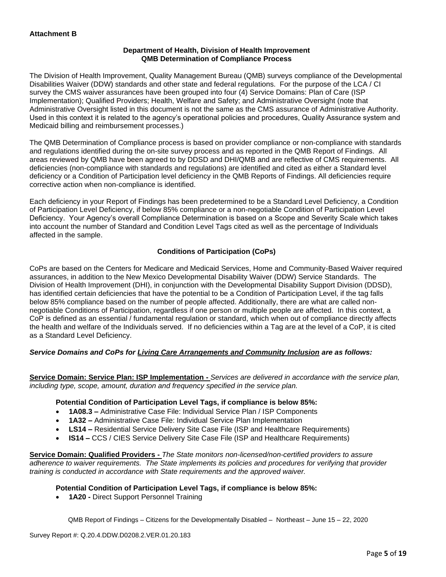## **Department of Health, Division of Health Improvement QMB Determination of Compliance Process**

The Division of Health Improvement, Quality Management Bureau (QMB) surveys compliance of the Developmental Disabilities Waiver (DDW) standards and other state and federal regulations. For the purpose of the LCA / CI survey the CMS waiver assurances have been grouped into four (4) Service Domains: Plan of Care (ISP Implementation); Qualified Providers; Health, Welfare and Safety; and Administrative Oversight (note that Administrative Oversight listed in this document is not the same as the CMS assurance of Administrative Authority. Used in this context it is related to the agency's operational policies and procedures, Quality Assurance system and Medicaid billing and reimbursement processes.)

The QMB Determination of Compliance process is based on provider compliance or non-compliance with standards and regulations identified during the on-site survey process and as reported in the QMB Report of Findings. All areas reviewed by QMB have been agreed to by DDSD and DHI/QMB and are reflective of CMS requirements. All deficiencies (non-compliance with standards and regulations) are identified and cited as either a Standard level deficiency or a Condition of Participation level deficiency in the QMB Reports of Findings. All deficiencies require corrective action when non-compliance is identified.

Each deficiency in your Report of Findings has been predetermined to be a Standard Level Deficiency, a Condition of Participation Level Deficiency, if below 85% compliance or a non-negotiable Condition of Participation Level Deficiency. Your Agency's overall Compliance Determination is based on a Scope and Severity Scale which takes into account the number of Standard and Condition Level Tags cited as well as the percentage of Individuals affected in the sample.

## **Conditions of Participation (CoPs)**

CoPs are based on the Centers for Medicare and Medicaid Services, Home and Community-Based Waiver required assurances, in addition to the New Mexico Developmental Disability Waiver (DDW) Service Standards. The Division of Health Improvement (DHI), in conjunction with the Developmental Disability Support Division (DDSD), has identified certain deficiencies that have the potential to be a Condition of Participation Level, if the tag falls below 85% compliance based on the number of people affected. Additionally, there are what are called nonnegotiable Conditions of Participation, regardless if one person or multiple people are affected. In this context, a CoP is defined as an essential / fundamental regulation or standard, which when out of compliance directly affects the health and welfare of the Individuals served. If no deficiencies within a Tag are at the level of a CoP, it is cited as a Standard Level Deficiency.

## *Service Domains and CoPs for Living Care Arrangements and Community Inclusion are as follows:*

**Service Domain: Service Plan: ISP Implementation -** *Services are delivered in accordance with the service plan, including type, scope, amount, duration and frequency specified in the service plan.*

#### **Potential Condition of Participation Level Tags, if compliance is below 85%:**

- **1A08.3 –** Administrative Case File: Individual Service Plan / ISP Components
- **1A32 –** Administrative Case File: Individual Service Plan Implementation
- **LS14 –** Residential Service Delivery Site Case File (ISP and Healthcare Requirements)
- **IS14 –** CCS / CIES Service Delivery Site Case File (ISP and Healthcare Requirements)

**Service Domain: Qualified Providers -** *The State monitors non-licensed/non-certified providers to assure adherence to waiver requirements. The State implements its policies and procedures for verifying that provider training is conducted in accordance with State requirements and the approved waiver.*

#### **Potential Condition of Participation Level Tags, if compliance is below 85%:**

• **1A20 -** Direct Support Personnel Training

QMB Report of Findings – Citizens for the Developmentally Disabled – Northeast – June 15 – 22, 2020

Survey Report #: Q.20.4.DDW.D0208.2.VER.01.20.183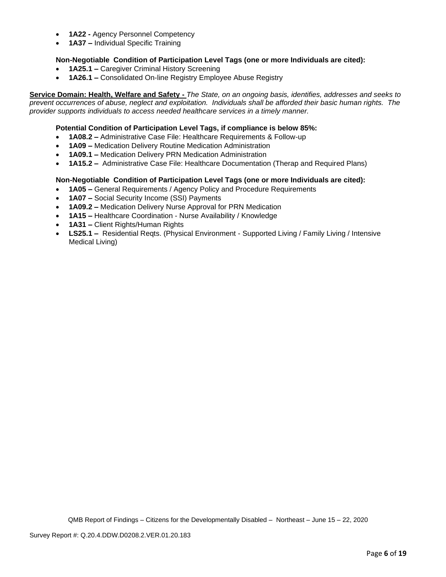- **1A22 -** Agency Personnel Competency
- **1A37 –** Individual Specific Training

## **Non-Negotiable Condition of Participation Level Tags (one or more Individuals are cited):**

- **1A25.1 –** Caregiver Criminal History Screening
- **1A26.1 –** Consolidated On-line Registry Employee Abuse Registry

**Service Domain: Health, Welfare and Safety -** *The State, on an ongoing basis, identifies, addresses and seeks to prevent occurrences of abuse, neglect and exploitation. Individuals shall be afforded their basic human rights. The provider supports individuals to access needed healthcare services in a timely manner.*

### **Potential Condition of Participation Level Tags, if compliance is below 85%:**

- **1A08.2 –** Administrative Case File: Healthcare Requirements & Follow-up
- **1A09 –** Medication Delivery Routine Medication Administration
- **1A09.1 –** Medication Delivery PRN Medication Administration
- **1A15.2 –** Administrative Case File: Healthcare Documentation (Therap and Required Plans)

#### **Non-Negotiable Condition of Participation Level Tags (one or more Individuals are cited):**

- **1A05 –** General Requirements / Agency Policy and Procedure Requirements
- **1A07 –** Social Security Income (SSI) Payments
- **1A09.2 –** Medication Delivery Nurse Approval for PRN Medication
- **1A15 –** Healthcare Coordination Nurse Availability / Knowledge
- **1A31 –** Client Rights/Human Rights
- **LS25.1 –** Residential Reqts. (Physical Environment Supported Living / Family Living / Intensive Medical Living)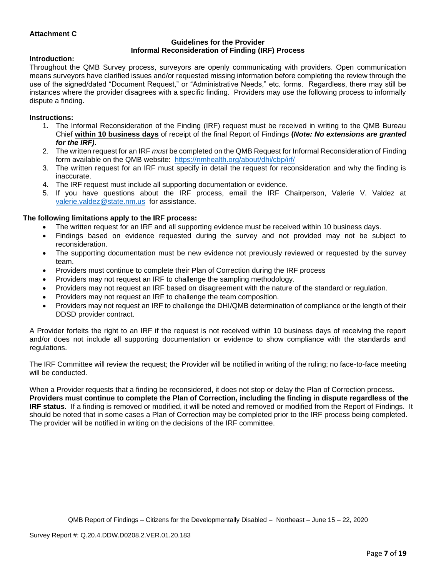## **Attachment C**

#### **Guidelines for the Provider Informal Reconsideration of Finding (IRF) Process**

#### **Introduction:**

Throughout the QMB Survey process, surveyors are openly communicating with providers. Open communication means surveyors have clarified issues and/or requested missing information before completing the review through the use of the signed/dated "Document Request," or "Administrative Needs," etc. forms. Regardless, there may still be instances where the provider disagrees with a specific finding. Providers may use the following process to informally dispute a finding.

#### **Instructions:**

- 1. The Informal Reconsideration of the Finding (IRF) request must be received in writing to the QMB Bureau Chief **within 10 business days** of receipt of the final Report of Findings **(***Note: No extensions are granted for the IRF)***.**
- 2. The written request for an IRF *must* be completed on the QMB Request for Informal Reconsideration of Finding form available on the QMB website: <https://nmhealth.org/about/dhi/cbp/irf/>
- 3. The written request for an IRF must specify in detail the request for reconsideration and why the finding is inaccurate.
- 4. The IRF request must include all supporting documentation or evidence.
- 5. If you have questions about the IRF process, email the IRF Chairperson, Valerie V. Valdez at [valerie.valdez@state.nm.us](mailto:valerie.valdez@state.nm.us) for assistance.

#### **The following limitations apply to the IRF process:**

- The written request for an IRF and all supporting evidence must be received within 10 business days.
- Findings based on evidence requested during the survey and not provided may not be subject to reconsideration.
- The supporting documentation must be new evidence not previously reviewed or requested by the survey team.
- Providers must continue to complete their Plan of Correction during the IRF process
- Providers may not request an IRF to challenge the sampling methodology.
- Providers may not request an IRF based on disagreement with the nature of the standard or regulation.
- Providers may not request an IRF to challenge the team composition.
- Providers may not request an IRF to challenge the DHI/QMB determination of compliance or the length of their DDSD provider contract.

A Provider forfeits the right to an IRF if the request is not received within 10 business days of receiving the report and/or does not include all supporting documentation or evidence to show compliance with the standards and regulations.

The IRF Committee will review the request; the Provider will be notified in writing of the ruling; no face-to-face meeting will be conducted.

When a Provider requests that a finding be reconsidered, it does not stop or delay the Plan of Correction process. **Providers must continue to complete the Plan of Correction, including the finding in dispute regardless of the IRF status.** If a finding is removed or modified, it will be noted and removed or modified from the Report of Findings. It should be noted that in some cases a Plan of Correction may be completed prior to the IRF process being completed. The provider will be notified in writing on the decisions of the IRF committee.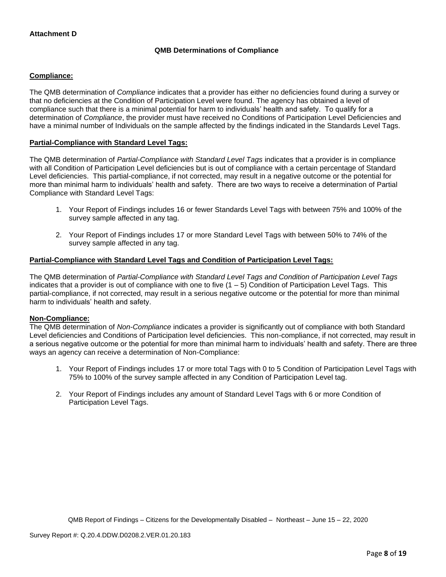## **QMB Determinations of Compliance**

## **Compliance:**

The QMB determination of *Compliance* indicates that a provider has either no deficiencies found during a survey or that no deficiencies at the Condition of Participation Level were found. The agency has obtained a level of compliance such that there is a minimal potential for harm to individuals' health and safety. To qualify for a determination of *Compliance*, the provider must have received no Conditions of Participation Level Deficiencies and have a minimal number of Individuals on the sample affected by the findings indicated in the Standards Level Tags.

## **Partial-Compliance with Standard Level Tags:**

The QMB determination of *Partial-Compliance with Standard Level Tags* indicates that a provider is in compliance with all Condition of Participation Level deficiencies but is out of compliance with a certain percentage of Standard Level deficiencies. This partial-compliance, if not corrected, may result in a negative outcome or the potential for more than minimal harm to individuals' health and safety. There are two ways to receive a determination of Partial Compliance with Standard Level Tags:

- 1. Your Report of Findings includes 16 or fewer Standards Level Tags with between 75% and 100% of the survey sample affected in any tag.
- 2. Your Report of Findings includes 17 or more Standard Level Tags with between 50% to 74% of the survey sample affected in any tag.

## **Partial-Compliance with Standard Level Tags and Condition of Participation Level Tags:**

The QMB determination of *Partial-Compliance with Standard Level Tags and Condition of Participation Level Tags*  indicates that a provider is out of compliance with one to five (1 – 5) Condition of Participation Level Tags. This partial-compliance, if not corrected, may result in a serious negative outcome or the potential for more than minimal harm to individuals' health and safety.

#### **Non-Compliance:**

The QMB determination of *Non-Compliance* indicates a provider is significantly out of compliance with both Standard Level deficiencies and Conditions of Participation level deficiencies. This non-compliance, if not corrected, may result in a serious negative outcome or the potential for more than minimal harm to individuals' health and safety. There are three ways an agency can receive a determination of Non-Compliance:

- 1. Your Report of Findings includes 17 or more total Tags with 0 to 5 Condition of Participation Level Tags with 75% to 100% of the survey sample affected in any Condition of Participation Level tag.
- 2. Your Report of Findings includes any amount of Standard Level Tags with 6 or more Condition of Participation Level Tags.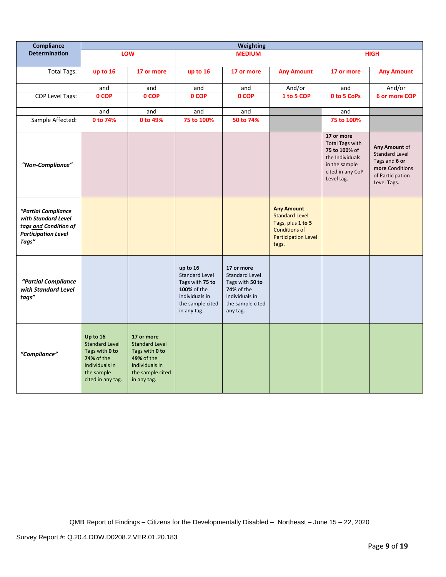| Compliance                                                                                                 | <b>Weighting</b>                                                                                                              |                                                                                                                          |                                                                                                                          |                                                                                                                               |                                                                                                                                |                                                                                                                             |                                                                                                               |
|------------------------------------------------------------------------------------------------------------|-------------------------------------------------------------------------------------------------------------------------------|--------------------------------------------------------------------------------------------------------------------------|--------------------------------------------------------------------------------------------------------------------------|-------------------------------------------------------------------------------------------------------------------------------|--------------------------------------------------------------------------------------------------------------------------------|-----------------------------------------------------------------------------------------------------------------------------|---------------------------------------------------------------------------------------------------------------|
| <b>Determination</b>                                                                                       |                                                                                                                               | LOW                                                                                                                      |                                                                                                                          | <b>MEDIUM</b>                                                                                                                 |                                                                                                                                | <b>HIGH</b>                                                                                                                 |                                                                                                               |
| <b>Total Tags:</b>                                                                                         | up to 16                                                                                                                      | 17 or more                                                                                                               | up to 16                                                                                                                 | 17 or more                                                                                                                    | <b>Any Amount</b>                                                                                                              | 17 or more                                                                                                                  | <b>Any Amount</b>                                                                                             |
|                                                                                                            | and                                                                                                                           | and                                                                                                                      | and                                                                                                                      | and                                                                                                                           | And/or                                                                                                                         | and                                                                                                                         | And/or                                                                                                        |
| COP Level Tags:                                                                                            | 0 COP                                                                                                                         | 0 COP                                                                                                                    | 0 COP                                                                                                                    | 0 COP                                                                                                                         | 1 to 5 COP                                                                                                                     | 0 to 5 CoPs                                                                                                                 | 6 or more COP                                                                                                 |
|                                                                                                            | and                                                                                                                           | and                                                                                                                      | and                                                                                                                      | and                                                                                                                           |                                                                                                                                | and                                                                                                                         |                                                                                                               |
| Sample Affected:                                                                                           | 0 to 74%                                                                                                                      | 0 to 49%                                                                                                                 | 75 to 100%                                                                                                               | 50 to 74%                                                                                                                     |                                                                                                                                | 75 to 100%                                                                                                                  |                                                                                                               |
| "Non-Compliance"                                                                                           |                                                                                                                               |                                                                                                                          |                                                                                                                          |                                                                                                                               |                                                                                                                                | 17 or more<br><b>Total Tags with</b><br>75 to 100% of<br>the Individuals<br>in the sample<br>cited in any CoP<br>Level tag. | Any Amount of<br><b>Standard Level</b><br>Tags and 6 or<br>more Conditions<br>of Participation<br>Level Tags. |
| "Partial Compliance<br>with Standard Level<br>tags and Condition of<br><b>Participation Level</b><br>Tags" |                                                                                                                               |                                                                                                                          |                                                                                                                          |                                                                                                                               | <b>Any Amount</b><br><b>Standard Level</b><br>Tags, plus 1 to 5<br><b>Conditions of</b><br><b>Participation Level</b><br>tags. |                                                                                                                             |                                                                                                               |
| "Partial Compliance<br>with Standard Level<br>tags"                                                        |                                                                                                                               |                                                                                                                          | up to 16<br><b>Standard Level</b><br>Tags with 75 to<br>100% of the<br>individuals in<br>the sample cited<br>in any tag. | 17 or more<br><b>Standard Level</b><br>Tags with 50 to<br><b>74%</b> of the<br>individuals in<br>the sample cited<br>any tag. |                                                                                                                                |                                                                                                                             |                                                                                                               |
| "Compliance"                                                                                               | Up to 16<br><b>Standard Level</b><br>Tags with 0 to<br><b>74% of the</b><br>individuals in<br>the sample<br>cited in any tag. | 17 or more<br><b>Standard Level</b><br>Tags with 0 to<br>49% of the<br>individuals in<br>the sample cited<br>in any tag. |                                                                                                                          |                                                                                                                               |                                                                                                                                |                                                                                                                             |                                                                                                               |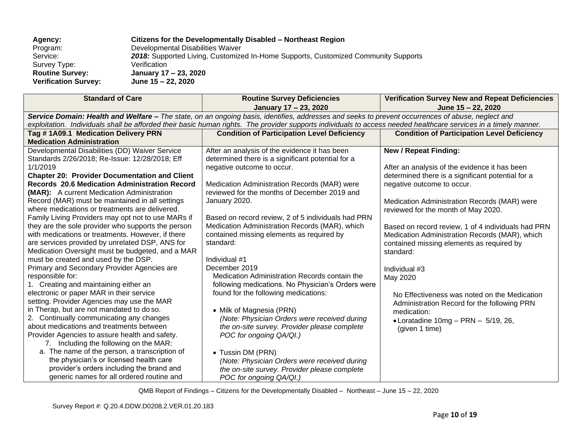| Agency:                     | Citizens for the Developmentally Disabled – Northeast Region                       |
|-----------------------------|------------------------------------------------------------------------------------|
| Program:                    | Developmental Disabilities Waiver                                                  |
| Service:                    | 2018: Supported Living, Customized In-Home Supports, Customized Community Supports |
| Survey Type:                | Verification                                                                       |
| <b>Routine Survey:</b>      | January 17 – 23, 2020                                                              |
| <b>Verification Survey:</b> | June 15 – 22, 2020                                                                 |

| <b>Standard of Care</b>                                                                                                                                                                                                                                                                                                                                                                                                                                                                                                                                                                                                                                                                                                                                                                                                                                                                                                                                                                                                                                                                                                                                                                                                                                                                                                      | <b>Routine Survey Deficiencies</b><br>January 17 - 23, 2020                                                                                                                                                                                                                                                                                                                                                                                                                                                                                                                                                                                                                                                                                                                                                                                                                                                | <b>Verification Survey New and Repeat Deficiencies</b><br>June 15 - 22, 2020                                                                                                                                                                                                                                                                                                                                                                                                                                                                                                                                                     |  |  |  |  |
|------------------------------------------------------------------------------------------------------------------------------------------------------------------------------------------------------------------------------------------------------------------------------------------------------------------------------------------------------------------------------------------------------------------------------------------------------------------------------------------------------------------------------------------------------------------------------------------------------------------------------------------------------------------------------------------------------------------------------------------------------------------------------------------------------------------------------------------------------------------------------------------------------------------------------------------------------------------------------------------------------------------------------------------------------------------------------------------------------------------------------------------------------------------------------------------------------------------------------------------------------------------------------------------------------------------------------|------------------------------------------------------------------------------------------------------------------------------------------------------------------------------------------------------------------------------------------------------------------------------------------------------------------------------------------------------------------------------------------------------------------------------------------------------------------------------------------------------------------------------------------------------------------------------------------------------------------------------------------------------------------------------------------------------------------------------------------------------------------------------------------------------------------------------------------------------------------------------------------------------------|----------------------------------------------------------------------------------------------------------------------------------------------------------------------------------------------------------------------------------------------------------------------------------------------------------------------------------------------------------------------------------------------------------------------------------------------------------------------------------------------------------------------------------------------------------------------------------------------------------------------------------|--|--|--|--|
| Service Domain: Health and Welfare - The state, on an ongoing basis, identifies, addresses and seeks to prevent occurrences of abuse, neglect and<br>exploitation. Individuals shall be afforded their basic human rights. The provider supports individuals to access needed healthcare services in a timely manner.                                                                                                                                                                                                                                                                                                                                                                                                                                                                                                                                                                                                                                                                                                                                                                                                                                                                                                                                                                                                        |                                                                                                                                                                                                                                                                                                                                                                                                                                                                                                                                                                                                                                                                                                                                                                                                                                                                                                            |                                                                                                                                                                                                                                                                                                                                                                                                                                                                                                                                                                                                                                  |  |  |  |  |
| Tag #1A09.1 Medication Delivery PRN                                                                                                                                                                                                                                                                                                                                                                                                                                                                                                                                                                                                                                                                                                                                                                                                                                                                                                                                                                                                                                                                                                                                                                                                                                                                                          | <b>Condition of Participation Level Deficiency</b>                                                                                                                                                                                                                                                                                                                                                                                                                                                                                                                                                                                                                                                                                                                                                                                                                                                         | <b>Condition of Participation Level Deficiency</b>                                                                                                                                                                                                                                                                                                                                                                                                                                                                                                                                                                               |  |  |  |  |
| <b>Medication Administration</b>                                                                                                                                                                                                                                                                                                                                                                                                                                                                                                                                                                                                                                                                                                                                                                                                                                                                                                                                                                                                                                                                                                                                                                                                                                                                                             |                                                                                                                                                                                                                                                                                                                                                                                                                                                                                                                                                                                                                                                                                                                                                                                                                                                                                                            |                                                                                                                                                                                                                                                                                                                                                                                                                                                                                                                                                                                                                                  |  |  |  |  |
| Developmental Disabilities (DD) Waiver Service<br>Standards 2/26/2018; Re-Issue: 12/28/2018; Eff<br>1/1/2019<br><b>Chapter 20: Provider Documentation and Client</b><br><b>Records 20.6 Medication Administration Record</b><br>(MAR): A current Medication Administration<br>Record (MAR) must be maintained in all settings<br>where medications or treatments are delivered.<br>Family Living Providers may opt not to use MARs if<br>they are the sole provider who supports the person<br>with medications or treatments. However, if there<br>are services provided by unrelated DSP, ANS for<br>Medication Oversight must be budgeted, and a MAR<br>must be created and used by the DSP.<br>Primary and Secondary Provider Agencies are<br>responsible for:<br>1. Creating and maintaining either an<br>electronic or paper MAR in their service<br>setting. Provider Agencies may use the MAR<br>in Therap, but are not mandated to do so.<br>2. Continually communicating any changes<br>about medications and treatments between<br>Provider Agencies to assure health and safety.<br>7. Including the following on the MAR:<br>a. The name of the person, a transcription of<br>the physician's or licensed health care<br>provider's orders including the brand and<br>generic names for all ordered routine and | After an analysis of the evidence it has been<br>determined there is a significant potential for a<br>negative outcome to occur.<br>Medication Administration Records (MAR) were<br>reviewed for the months of December 2019 and<br>January 2020.<br>Based on record review, 2 of 5 individuals had PRN<br>Medication Administration Records (MAR), which<br>contained missing elements as required by<br>standard:<br>Individual #1<br>December 2019<br>Medication Administration Records contain the<br>following medications. No Physician's Orders were<br>found for the following medications:<br>• Milk of Magnesia (PRN)<br>(Note: Physician Orders were received during<br>the on-site survey. Provider please complete<br>POC for ongoing QA/QI.)<br>• Tussin DM (PRN)<br>(Note: Physician Orders were received during<br>the on-site survey. Provider please complete<br>POC for ongoing QA/QI.) | <b>New / Repeat Finding:</b><br>After an analysis of the evidence it has been<br>determined there is a significant potential for a<br>negative outcome to occur.<br>Medication Administration Records (MAR) were<br>reviewed for the month of May 2020.<br>Based on record review, 1 of 4 individuals had PRN<br>Medication Administration Records (MAR), which<br>contained missing elements as required by<br>standard:<br>Individual #3<br>May 2020<br>No Effectiveness was noted on the Medication<br>Administration Record for the following PRN<br>medication:<br>• Loratadine $10mg - PRN - 5/19$ , 26,<br>(given 1 time) |  |  |  |  |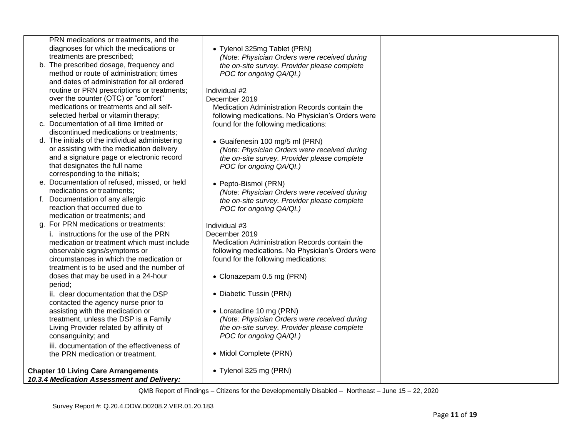| PRN medications or treatments, and the<br>diagnoses for which the medications or<br>treatments are prescribed;<br>b. The prescribed dosage, frequency and<br>method or route of administration; times<br>and dates of administration for all ordered<br>routine or PRN prescriptions or treatments;<br>over the counter (OTC) or "comfort"<br>medications or treatments and all self-<br>selected herbal or vitamin therapy;<br>c. Documentation of all time limited or<br>discontinued medications or treatments;<br>d. The initials of the individual administering<br>or assisting with the medication delivery<br>and a signature page or electronic record<br>that designates the full name<br>corresponding to the initials;<br>e. Documentation of refused, missed, or held<br>medications or treatments;<br>Documentation of any allergic<br>reaction that occurred due to<br>medication or treatments; and<br>g. For PRN medications or treatments:<br>i. instructions for the use of the PRN<br>medication or treatment which must include<br>observable signs/symptoms or<br>circumstances in which the medication or<br>treatment is to be used and the number of<br>doses that may be used in a 24-hour<br>period;<br>ii. clear documentation that the DSP<br>contacted the agency nurse prior to<br>assisting with the medication or<br>treatment, unless the DSP is a Family<br>Living Provider related by affinity of | • Tylenol 325mg Tablet (PRN)<br>(Note: Physician Orders were received during<br>the on-site survey. Provider please complete<br>POC for ongoing QA/QI.)<br>Individual #2<br>December 2019<br>Medication Administration Records contain the<br>following medications. No Physician's Orders were<br>found for the following medications:<br>• Guaifenesin 100 mg/5 ml (PRN)<br>(Note: Physician Orders were received during<br>the on-site survey. Provider please complete<br>POC for ongoing QA/QI.)<br>• Pepto-Bismol (PRN)<br>(Note: Physician Orders were received during<br>the on-site survey. Provider please complete<br>POC for ongoing QA/QI.)<br>Individual #3<br>December 2019<br>Medication Administration Records contain the<br>following medications. No Physician's Orders were<br>found for the following medications:<br>• Clonazepam 0.5 mg (PRN)<br>• Diabetic Tussin (PRN)<br>• Loratadine 10 mg (PRN)<br>(Note: Physician Orders were received during<br>the on-site survey. Provider please complete |  |
|---------------------------------------------------------------------------------------------------------------------------------------------------------------------------------------------------------------------------------------------------------------------------------------------------------------------------------------------------------------------------------------------------------------------------------------------------------------------------------------------------------------------------------------------------------------------------------------------------------------------------------------------------------------------------------------------------------------------------------------------------------------------------------------------------------------------------------------------------------------------------------------------------------------------------------------------------------------------------------------------------------------------------------------------------------------------------------------------------------------------------------------------------------------------------------------------------------------------------------------------------------------------------------------------------------------------------------------------------------------------------------------------------------------------------------------|------------------------------------------------------------------------------------------------------------------------------------------------------------------------------------------------------------------------------------------------------------------------------------------------------------------------------------------------------------------------------------------------------------------------------------------------------------------------------------------------------------------------------------------------------------------------------------------------------------------------------------------------------------------------------------------------------------------------------------------------------------------------------------------------------------------------------------------------------------------------------------------------------------------------------------------------------------------------------------------------------------------------------|--|
| consanguinity; and<br>iii. documentation of the effectiveness of<br>the PRN medication or treatment.                                                                                                                                                                                                                                                                                                                                                                                                                                                                                                                                                                                                                                                                                                                                                                                                                                                                                                                                                                                                                                                                                                                                                                                                                                                                                                                                  | POC for ongoing QA/QI.)<br>• Midol Complete (PRN)<br>• Tylenol 325 mg (PRN)                                                                                                                                                                                                                                                                                                                                                                                                                                                                                                                                                                                                                                                                                                                                                                                                                                                                                                                                                  |  |
| <b>Chapter 10 Living Care Arrangements</b><br>10.3.4 Medication Assessment and Delivery:                                                                                                                                                                                                                                                                                                                                                                                                                                                                                                                                                                                                                                                                                                                                                                                                                                                                                                                                                                                                                                                                                                                                                                                                                                                                                                                                              |                                                                                                                                                                                                                                                                                                                                                                                                                                                                                                                                                                                                                                                                                                                                                                                                                                                                                                                                                                                                                              |  |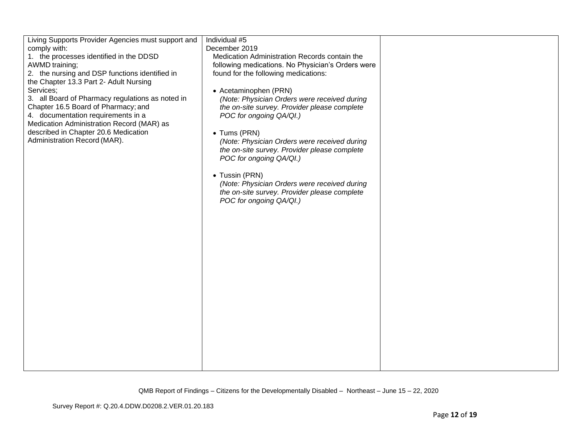| Living Supports Provider Agencies must support and<br>comply with:<br>1. the processes identified in the DDSD<br>AWMD training;<br>2. the nursing and DSP functions identified in<br>the Chapter 13.3 Part 2- Adult Nursing<br>Services;<br>3. all Board of Pharmacy regulations as noted in<br>Chapter 16.5 Board of Pharmacy; and<br>4. documentation requirements in a<br>Medication Administration Record (MAR) as<br>described in Chapter 20.6 Medication<br>Administration Record (MAR). | Individual #5<br>December 2019<br>Medication Administration Records contain the<br>following medications. No Physician's Orders were<br>found for the following medications:<br>• Acetaminophen (PRN)<br>(Note: Physician Orders were received during<br>the on-site survey. Provider please complete<br>POC for ongoing QA/QI.)<br>• Tums (PRN)<br>(Note: Physician Orders were received during<br>the on-site survey. Provider please complete<br>POC for ongoing QA/QI.)<br>• Tussin (PRN)<br>(Note: Physician Orders were received during<br>the on-site survey. Provider please complete<br>POC for ongoing QA/QI.) |  |
|------------------------------------------------------------------------------------------------------------------------------------------------------------------------------------------------------------------------------------------------------------------------------------------------------------------------------------------------------------------------------------------------------------------------------------------------------------------------------------------------|--------------------------------------------------------------------------------------------------------------------------------------------------------------------------------------------------------------------------------------------------------------------------------------------------------------------------------------------------------------------------------------------------------------------------------------------------------------------------------------------------------------------------------------------------------------------------------------------------------------------------|--|
|                                                                                                                                                                                                                                                                                                                                                                                                                                                                                                |                                                                                                                                                                                                                                                                                                                                                                                                                                                                                                                                                                                                                          |  |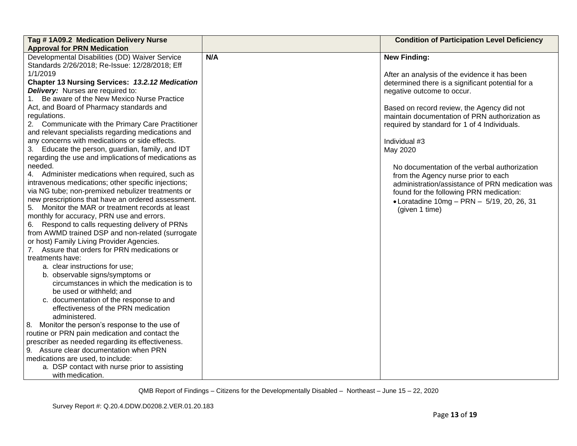| Tag #1A09.2 Medication Delivery Nurse<br><b>Approval for PRN Medication</b> |     | <b>Condition of Participation Level Deficiency</b> |
|-----------------------------------------------------------------------------|-----|----------------------------------------------------|
| Developmental Disabilities (DD) Waiver Service                              | N/A | <b>New Finding:</b>                                |
| Standards 2/26/2018; Re-Issue: 12/28/2018; Eff                              |     |                                                    |
| 1/1/2019                                                                    |     | After an analysis of the evidence it has been      |
| Chapter 13 Nursing Services: 13.2.12 Medication                             |     | determined there is a significant potential for a  |
| <b>Delivery:</b> Nurses are required to:                                    |     | negative outcome to occur.                         |
| 1. Be aware of the New Mexico Nurse Practice                                |     |                                                    |
| Act, and Board of Pharmacy standards and                                    |     | Based on record review, the Agency did not         |
| regulations.                                                                |     | maintain documentation of PRN authorization as     |
| 2. Communicate with the Primary Care Practitioner                           |     | required by standard for 1 of 4 Individuals.       |
| and relevant specialists regarding medications and                          |     |                                                    |
| any concerns with medications or side effects.                              |     | Individual #3                                      |
| 3. Educate the person, guardian, family, and IDT                            |     | May 2020                                           |
| regarding the use and implications of medications as                        |     |                                                    |
| needed.                                                                     |     | No documentation of the verbal authorization       |
| 4. Administer medications when required, such as                            |     | from the Agency nurse prior to each                |
| intravenous medications; other specific injections;                         |     | administration/assistance of PRN medication was    |
| via NG tube; non-premixed nebulizer treatments or                           |     | found for the following PRN medication:            |
| new prescriptions that have an ordered assessment.                          |     | • Loratadine 10mg - PRN - 5/19, 20, 26, 31         |
| 5. Monitor the MAR or treatment records at least                            |     | (given 1 time)                                     |
| monthly for accuracy, PRN use and errors.                                   |     |                                                    |
| 6.<br>Respond to calls requesting delivery of PRNs                          |     |                                                    |
| from AWMD trained DSP and non-related (surrogate                            |     |                                                    |
| or host) Family Living Provider Agencies.                                   |     |                                                    |
| 7. Assure that orders for PRN medications or                                |     |                                                    |
| treatments have:                                                            |     |                                                    |
| a. clear instructions for use;                                              |     |                                                    |
| b. observable signs/symptoms or                                             |     |                                                    |
| circumstances in which the medication is to                                 |     |                                                    |
| be used or withheld; and                                                    |     |                                                    |
| c. documentation of the response to and                                     |     |                                                    |
| effectiveness of the PRN medication                                         |     |                                                    |
| administered.                                                               |     |                                                    |
| 8. Monitor the person's response to the use of                              |     |                                                    |
| routine or PRN pain medication and contact the                              |     |                                                    |
| prescriber as needed regarding its effectiveness.                           |     |                                                    |
| 9. Assure clear documentation when PRN                                      |     |                                                    |
| medications are used, to include:                                           |     |                                                    |
| a. DSP contact with nurse prior to assisting                                |     |                                                    |
| with medication.                                                            |     |                                                    |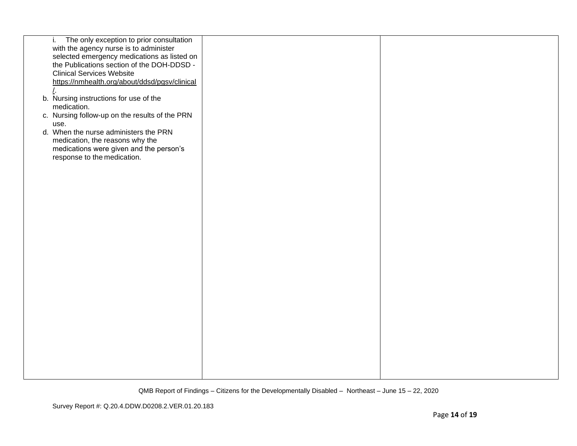| The only exception to prior consultation<br>i. |  |
|------------------------------------------------|--|
|                                                |  |
| with the agency nurse is to administer         |  |
| selected emergency medications as listed on    |  |
| the Publications section of the DOH-DDSD -     |  |
| <b>Clinical Services Website</b>               |  |
|                                                |  |
| https://nmhealth.org/about/ddsd/pgsv/clinical  |  |
|                                                |  |
|                                                |  |
| b. Nursing instructions for use of the         |  |
| medication.                                    |  |
| c. Nursing follow-up on the results of the PRN |  |
| use.                                           |  |
|                                                |  |
| d. When the nurse administers the PRN          |  |
| medication, the reasons why the                |  |
| medications were given and the person's        |  |
|                                                |  |
| response to the medication.                    |  |
|                                                |  |
|                                                |  |
|                                                |  |
|                                                |  |
|                                                |  |
|                                                |  |
|                                                |  |
|                                                |  |
|                                                |  |
|                                                |  |
|                                                |  |
|                                                |  |
|                                                |  |
|                                                |  |
|                                                |  |
|                                                |  |
|                                                |  |
|                                                |  |
|                                                |  |
|                                                |  |
|                                                |  |
|                                                |  |
|                                                |  |
|                                                |  |
|                                                |  |
|                                                |  |
|                                                |  |
|                                                |  |
|                                                |  |
|                                                |  |
|                                                |  |
|                                                |  |
|                                                |  |
|                                                |  |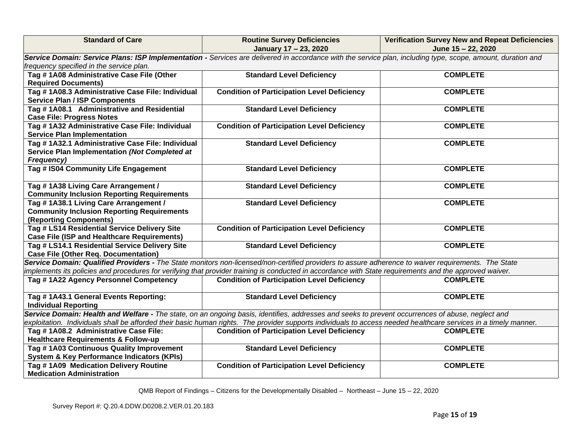| <b>Standard of Care</b>                                                                                                                                          | <b>Routine Survey Deficiencies</b>                 | <b>Verification Survey New and Repeat Deficiencies</b> |  |  |  |  |  |
|------------------------------------------------------------------------------------------------------------------------------------------------------------------|----------------------------------------------------|--------------------------------------------------------|--|--|--|--|--|
|                                                                                                                                                                  | January 17 - 23, 2020                              | June 15 - 22, 2020                                     |  |  |  |  |  |
| Service Domain: Service Plans: ISP Implementation - Services are delivered in accordance with the service plan, including type, scope, amount, duration and      |                                                    |                                                        |  |  |  |  |  |
| frequency specified in the service plan.                                                                                                                         |                                                    |                                                        |  |  |  |  |  |
| Tag #1A08 Administrative Case File (Other                                                                                                                        | <b>Standard Level Deficiency</b>                   | <b>COMPLETE</b>                                        |  |  |  |  |  |
| <b>Required Documents)</b>                                                                                                                                       |                                                    |                                                        |  |  |  |  |  |
| Tag # 1A08.3 Administrative Case File: Individual                                                                                                                | <b>Condition of Participation Level Deficiency</b> | <b>COMPLETE</b>                                        |  |  |  |  |  |
| <b>Service Plan / ISP Components</b>                                                                                                                             |                                                    |                                                        |  |  |  |  |  |
| Tag #1A08.1 Administrative and Residential                                                                                                                       | <b>Standard Level Deficiency</b>                   | <b>COMPLETE</b>                                        |  |  |  |  |  |
| <b>Case File: Progress Notes</b>                                                                                                                                 |                                                    |                                                        |  |  |  |  |  |
| Tag # 1A32 Administrative Case File: Individual                                                                                                                  | <b>Condition of Participation Level Deficiency</b> | <b>COMPLETE</b>                                        |  |  |  |  |  |
| <b>Service Plan Implementation</b>                                                                                                                               |                                                    |                                                        |  |  |  |  |  |
| Tag # 1A32.1 Administrative Case File: Individual                                                                                                                | <b>Standard Level Deficiency</b>                   | <b>COMPLETE</b>                                        |  |  |  |  |  |
| Service Plan Implementation (Not Completed at                                                                                                                    |                                                    |                                                        |  |  |  |  |  |
| <b>Frequency)</b>                                                                                                                                                |                                                    |                                                        |  |  |  |  |  |
| Tag # IS04 Community Life Engagement                                                                                                                             | <b>Standard Level Deficiency</b>                   | <b>COMPLETE</b>                                        |  |  |  |  |  |
|                                                                                                                                                                  |                                                    |                                                        |  |  |  |  |  |
| Tag #1A38 Living Care Arrangement /                                                                                                                              | <b>Standard Level Deficiency</b>                   | <b>COMPLETE</b>                                        |  |  |  |  |  |
| <b>Community Inclusion Reporting Requirements</b>                                                                                                                |                                                    |                                                        |  |  |  |  |  |
| Tag #1A38.1 Living Care Arrangement /                                                                                                                            | <b>Standard Level Deficiency</b>                   | <b>COMPLETE</b>                                        |  |  |  |  |  |
| <b>Community Inclusion Reporting Requirements</b>                                                                                                                |                                                    |                                                        |  |  |  |  |  |
| (Reporting Components)                                                                                                                                           |                                                    |                                                        |  |  |  |  |  |
| Tag # LS14 Residential Service Delivery Site                                                                                                                     | <b>Condition of Participation Level Deficiency</b> | <b>COMPLETE</b>                                        |  |  |  |  |  |
| <b>Case File (ISP and Healthcare Requirements)</b>                                                                                                               |                                                    |                                                        |  |  |  |  |  |
| Tag # LS14.1 Residential Service Delivery Site                                                                                                                   | <b>Standard Level Deficiency</b>                   | <b>COMPLETE</b>                                        |  |  |  |  |  |
| <b>Case File (Other Req. Documentation)</b>                                                                                                                      |                                                    |                                                        |  |  |  |  |  |
| Service Domain: Qualified Providers - The State monitors non-licensed/non-certified providers to assure adherence to waiver requirements. The State              |                                                    |                                                        |  |  |  |  |  |
| implements its policies and procedures for verifying that provider training is conducted in accordance with State requirements and the approved waiver.          |                                                    |                                                        |  |  |  |  |  |
| Tag #1A22 Agency Personnel Competency                                                                                                                            | <b>Condition of Participation Level Deficiency</b> | <b>COMPLETE</b>                                        |  |  |  |  |  |
|                                                                                                                                                                  |                                                    |                                                        |  |  |  |  |  |
| Tag #1A43.1 General Events Reporting:                                                                                                                            | <b>Standard Level Deficiency</b>                   | <b>COMPLETE</b>                                        |  |  |  |  |  |
| <b>Individual Reporting</b>                                                                                                                                      |                                                    |                                                        |  |  |  |  |  |
| Service Domain: Health and Welfare - The state, on an ongoing basis, identifies, addresses and seeks to prevent occurrences of abuse, neglect and                |                                                    |                                                        |  |  |  |  |  |
| exploitation. Individuals shall be afforded their basic human rights. The provider supports individuals to access needed healthcare services in a timely manner. |                                                    |                                                        |  |  |  |  |  |
| Tag # 1A08.2 Administrative Case File:                                                                                                                           | <b>Condition of Participation Level Deficiency</b> | <b>COMPLETE</b>                                        |  |  |  |  |  |
| <b>Healthcare Requirements &amp; Follow-up</b>                                                                                                                   |                                                    |                                                        |  |  |  |  |  |
| Tag #1A03 Continuous Quality Improvement                                                                                                                         | <b>Standard Level Deficiency</b>                   | <b>COMPLETE</b>                                        |  |  |  |  |  |
| <b>System &amp; Key Performance Indicators (KPIs)</b>                                                                                                            |                                                    |                                                        |  |  |  |  |  |
| Tag #1A09 Medication Delivery Routine                                                                                                                            | <b>Condition of Participation Level Deficiency</b> | <b>COMPLETE</b>                                        |  |  |  |  |  |
| <b>Medication Administration</b>                                                                                                                                 |                                                    |                                                        |  |  |  |  |  |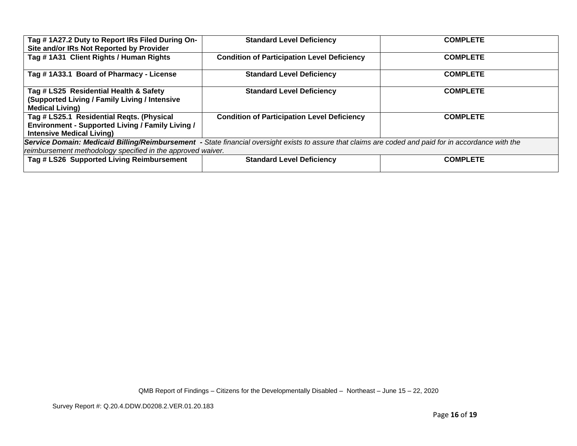| Tag #1A27.2 Duty to Report IRs Filed During On-<br>Site and/or IRs Not Reported by Provider                                                           | <b>Standard Level Deficiency</b>                   | <b>COMPLETE</b> |  |  |
|-------------------------------------------------------------------------------------------------------------------------------------------------------|----------------------------------------------------|-----------------|--|--|
| Tag #1A31 Client Rights / Human Rights                                                                                                                | <b>Condition of Participation Level Deficiency</b> | <b>COMPLETE</b> |  |  |
| Tag #1A33.1 Board of Pharmacy - License                                                                                                               | <b>Standard Level Deficiency</b>                   | <b>COMPLETE</b> |  |  |
| Tag # LS25 Residential Health & Safety                                                                                                                | <b>Standard Level Deficiency</b>                   | <b>COMPLETE</b> |  |  |
| (Supported Living / Family Living / Intensive                                                                                                         |                                                    |                 |  |  |
| <b>Medical Living)</b>                                                                                                                                |                                                    |                 |  |  |
| Tag # LS25.1 Residential Regts. (Physical                                                                                                             | <b>Condition of Participation Level Deficiency</b> | <b>COMPLETE</b> |  |  |
| Environment - Supported Living / Family Living /                                                                                                      |                                                    |                 |  |  |
| <b>Intensive Medical Living)</b>                                                                                                                      |                                                    |                 |  |  |
| Service Domain: Medicaid Billing/Reimbursement - State financial oversight exists to assure that claims are coded and paid for in accordance with the |                                                    |                 |  |  |
| reimbursement methodology specified in the approved waiver.                                                                                           |                                                    |                 |  |  |
| Tag # LS26 Supported Living Reimbursement                                                                                                             | <b>Standard Level Deficiency</b>                   | <b>COMPLETE</b> |  |  |
|                                                                                                                                                       |                                                    |                 |  |  |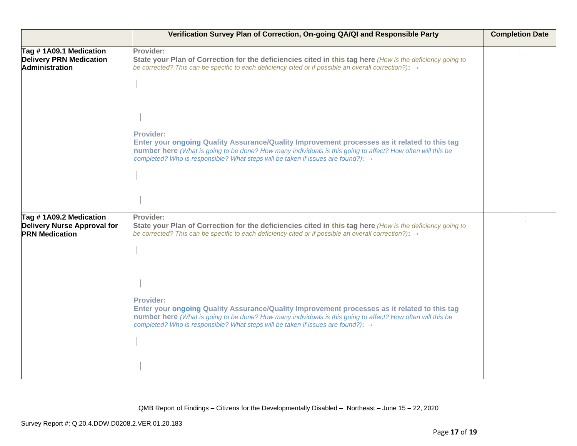|                                                                                | Verification Survey Plan of Correction, On-going QA/QI and Responsible Party                                                                                                                                                                                                                                                    | <b>Completion Date</b> |
|--------------------------------------------------------------------------------|---------------------------------------------------------------------------------------------------------------------------------------------------------------------------------------------------------------------------------------------------------------------------------------------------------------------------------|------------------------|
| Tag #1A09.1 Medication<br><b>Delivery PRN Medication</b><br>Administration     | Provider:<br>State your Plan of Correction for the deficiencies cited in this tag here (How is the deficiency going to<br>be corrected? This can be specific to each deficiency cited or if possible an overall correction?): $\rightarrow$                                                                                     |                        |
|                                                                                | <b>Provider:</b><br>Enter your ongoing Quality Assurance/Quality Improvement processes as it related to this tag<br>number here (What is going to be done? How many individuals is this going to affect? How often will this be<br>completed? Who is responsible? What steps will be taken if issues are found?): $\rightarrow$ |                        |
| Tag #1A09.2 Medication<br>Delivery Nurse Approval for<br><b>PRN Medication</b> | Provider:<br>State your Plan of Correction for the deficiencies cited in this tag here (How is the deficiency going to<br>be corrected? This can be specific to each deficiency cited or if possible an overall correction?): $\rightarrow$                                                                                     |                        |
|                                                                                | <b>Provider:</b><br>Enter your ongoing Quality Assurance/Quality Improvement processes as it related to this tag<br>number here (What is going to be done? How many individuals is this going to affect? How often will this be<br>completed? Who is responsible? What steps will be taken if issues are found?): $\rightarrow$ |                        |